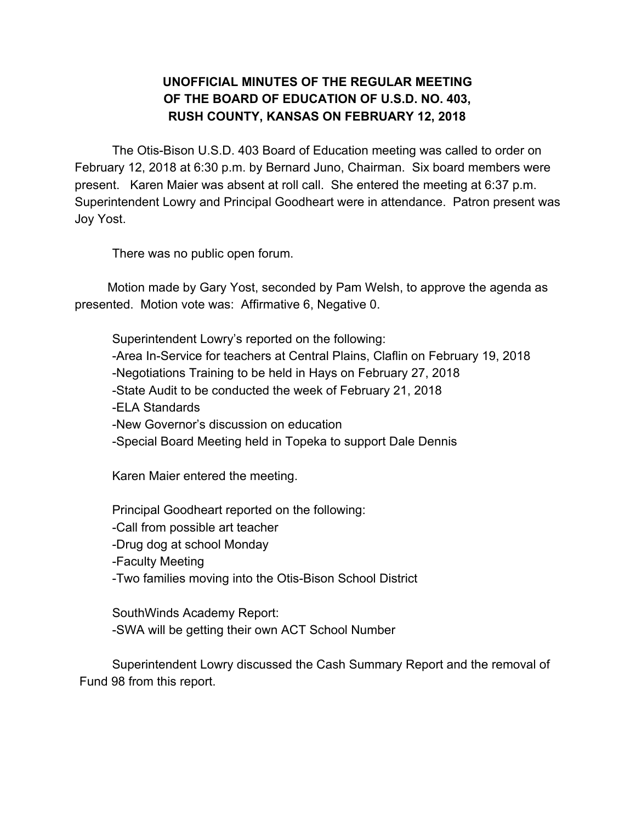## **UNOFFICIAL MINUTES OF THE REGULAR MEETING OF THE BOARD OF EDUCATION OF U.S.D. NO. 403, RUSH COUNTY, KANSAS ON FEBRUARY 12, 2018**

The Otis-Bison U.S.D. 403 Board of Education meeting was called to order on February 12, 2018 at 6:30 p.m. by Bernard Juno, Chairman. Six board members were present. Karen Maier was absent at roll call. She entered the meeting at 6:37 p.m. Superintendent Lowry and Principal Goodheart were in attendance. Patron present was Joy Yost.

There was no public open forum.

Motion made by Gary Yost, seconded by Pam Welsh, to approve the agenda as presented. Motion vote was: Affirmative 6, Negative 0.

Superintendent Lowry's reported on the following: -Area In-Service for teachers at Central Plains, Claflin on February 19, 2018 -Negotiations Training to be held in Hays on February 27, 2018 -State Audit to be conducted the week of February 21, 2018 -ELA Standards -New Governor's discussion on education -Special Board Meeting held in Topeka to support Dale Dennis

Karen Maier entered the meeting.

Principal Goodheart reported on the following: -Call from possible art teacher

-Drug dog at school Monday

-Faculty Meeting

-Two families moving into the Otis-Bison School District

SouthWinds Academy Report: -SWA will be getting their own ACT School Number

Superintendent Lowry discussed the Cash Summary Report and the removal of Fund 98 from this report.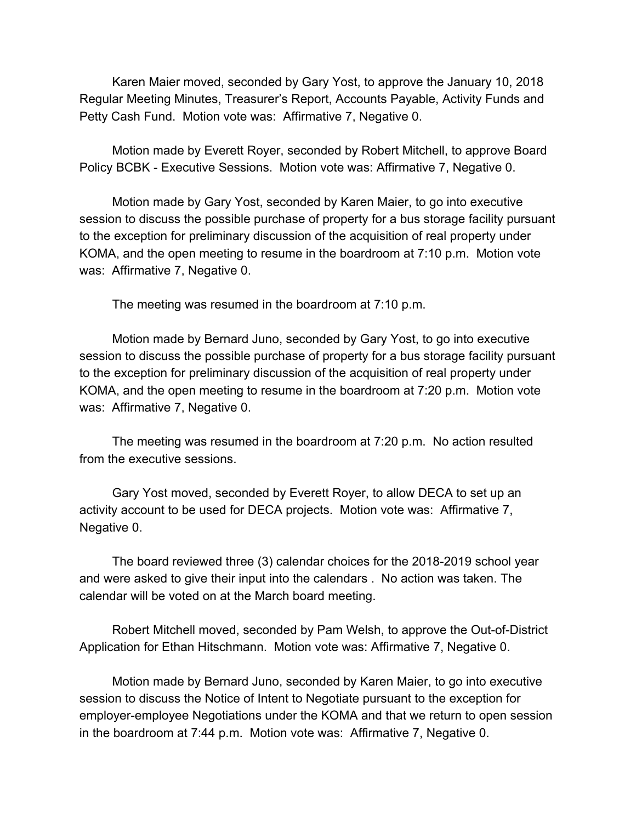Karen Maier moved, seconded by Gary Yost, to approve the January 10, 2018 Regular Meeting Minutes, Treasurer's Report, Accounts Payable, Activity Funds and Petty Cash Fund. Motion vote was: Affirmative 7, Negative 0.

Motion made by Everett Royer, seconded by Robert Mitchell, to approve Board Policy BCBK - Executive Sessions. Motion vote was: Affirmative 7, Negative 0.

Motion made by Gary Yost, seconded by Karen Maier, to go into executive session to discuss the possible purchase of property for a bus storage facility pursuant to the exception for preliminary discussion of the acquisition of real property under KOMA, and the open meeting to resume in the boardroom at 7:10 p.m. Motion vote was: Affirmative 7, Negative 0.

The meeting was resumed in the boardroom at 7:10 p.m.

Motion made by Bernard Juno, seconded by Gary Yost, to go into executive session to discuss the possible purchase of property for a bus storage facility pursuant to the exception for preliminary discussion of the acquisition of real property under KOMA, and the open meeting to resume in the boardroom at 7:20 p.m. Motion vote was: Affirmative 7, Negative 0.

The meeting was resumed in the boardroom at 7:20 p.m. No action resulted from the executive sessions.

Gary Yost moved, seconded by Everett Royer, to allow DECA to set up an activity account to be used for DECA projects. Motion vote was: Affirmative 7, Negative 0.

The board reviewed three (3) calendar choices for the 2018-2019 school year and were asked to give their input into the calendars . No action was taken. The calendar will be voted on at the March board meeting.

Robert Mitchell moved, seconded by Pam Welsh, to approve the Out-of-District Application for Ethan Hitschmann. Motion vote was: Affirmative 7, Negative 0.

Motion made by Bernard Juno, seconded by Karen Maier, to go into executive session to discuss the Notice of Intent to Negotiate pursuant to the exception for employer-employee Negotiations under the KOMA and that we return to open session in the boardroom at 7:44 p.m. Motion vote was: Affirmative 7, Negative 0.